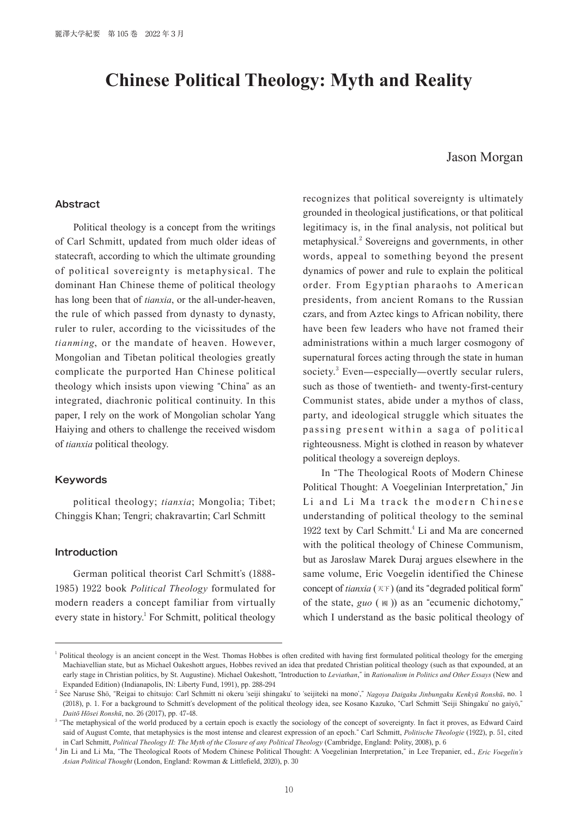# **Chinese Political Theology: Myth and Reality**

## Jason Morgan

## **Abstract**

Political theology is a concept from the writings of Carl Schmitt, updated from much older ideas of statecraft, according to which the ultimate grounding of political sovereignty is metaphysical. The dominant Han Chinese theme of political theology has long been that of *tianxia*, or the all-under-heaven, the rule of which passed from dynasty to dynasty, ruler to ruler, according to the vicissitudes of the *tianming*, or the mandate of heaven. However, Mongolian and Tibetan political theologies greatly complicate the purported Han Chinese political theology which insists upon viewing "China" as an integrated, diachronic political continuity. In this paper, I rely on the work of Mongolian scholar Yang Haiying and others to challenge the received wisdom of *tianxia* political theology.

## **Keywords**

political theology; *tianxia*; Mongolia; Tibet; Chinggis Khan; Tengri; chakravartin; Carl Schmitt

#### **Introduction**

German political theorist Carl Schmitt's (1888- 1985) 1922 book *Political Theology* formulated for modern readers a concept familiar from virtually every state in history.<sup>1</sup> For Schmitt, political theology recognizes that political sovereignty is ultimately grounded in theological justifications, or that political legitimacy is, in the final analysis, not political but metaphysical.<sup>2</sup> Sovereigns and governments, in other words, appeal to something beyond the present dynamics of power and rule to explain the political order. From Egyptian pharaohs to American presidents, from ancient Romans to the Russian czars, and from Aztec kings to African nobility, there have been few leaders who have not framed their administrations within a much larger cosmogony of supernatural forces acting through the state in human society.<sup>3</sup> Even—especially—overtly secular rulers, such as those of twentieth- and twenty-first-century Communist states, abide under a mythos of class, party, and ideological struggle which situates the passing present within a saga of political righteousness. Might is clothed in reason by whatever political theology a sovereign deploys.

In "The Theological Roots of Modern Chinese Political Thought: A Voegelinian Interpretation," Jin Li and Li Ma track the modern Chinese understanding of political theology to the seminal 1922 text by Carl Schmitt.<sup>4</sup> Li and Ma are concerned with the political theology of Chinese Communism, but as Jarosław Marek Duraj argues elsewhere in the same volume, Eric Voegelin identified the Chinese concept of *tianxia* (天下) (and its "degraded political form" of the state, *guo* ( <sup>國</sup> )) as an "ecumenic dichotomy," which I understand as the basic political theology of

<sup>&</sup>lt;sup>1</sup> Political theology is an ancient concept in the West. Thomas Hobbes is often credited with having first formulated political theology for the emerging Machiavellian state, but as Michael Oakeshott argues, Hobbes revived an idea that predated Christian political theology (such as that expounded, at an early stage in Christian politics, by St. Augustine). Michael Oakeshott, "Introduction to *Leviathan*," in *Rationalism in Politics and Other Essays* (New and Expanded Edition) (Indianapolis, IN: Liberty Fund, 1991), pp. 288-294

<sup>2</sup> See Naruse Shō, "Reigai to chitsujo: Carl Schmitt ni okeru ʻseiji shingaku' to ʻseijiteki na mono'," *Nagoya Daigaku Jinbungaku Kenkyū Ronshū*, no. 1 (2018), p. 1. For a background to Schmitt's development of the political theology idea, see Kosano Kazuko, "Carl Schmitt ʻSeiji Shingaku' no gaiyō," *Daitō Hōsei Ronshū*, no. 26 (2017), pp. 47-48.

<sup>&</sup>lt;sup>3</sup> "The metaphysical of the world produced by a certain epoch is exactly the sociology of the concept of sovereignty. In fact it proves, as Edward Caird said of August Comte, that metaphysics is the most intense and clearest expression of an epoch." Carl Schmitt, *Politische Theologie* (1922), p. 51, cited in Carl Schmitt, *Political Theology II: The Myth of the Closure of any Political Theology* (Cambridge, England: Polity, 2008), p. 6

<sup>4</sup> Jin Li and Li Ma, "The Theological Roots of Modern Chinese Political Thought: A Voegelinian Interpretation," in Lee Trepanier, ed., *Eric Voegelin's Asian Political Thought* (London, England: Rowman & Littlefield, 2020), p. 30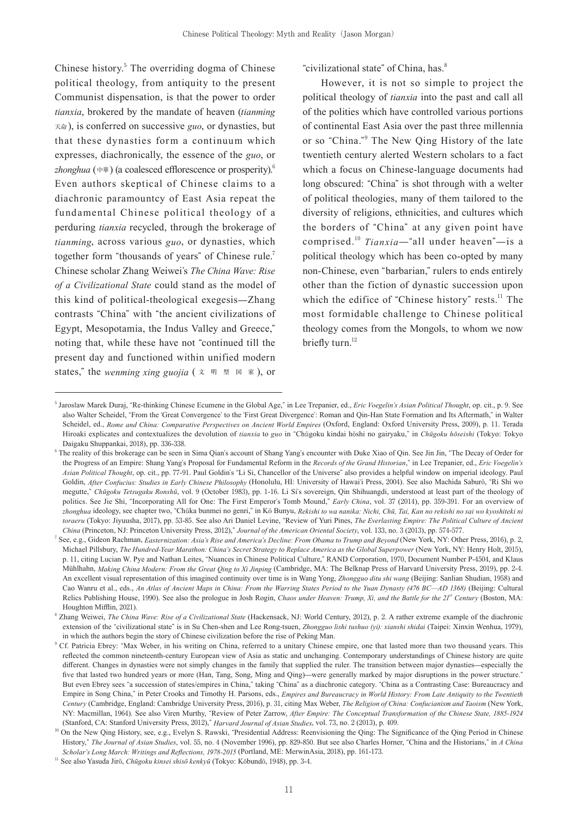Chinese history.<sup>5</sup> The overriding dogma of Chinese political theology, from antiquity to the present Communist dispensation, is that the power to order *tianxia*, brokered by the mandate of heaven (*tianming* 天命 ), is conferred on successive *guo*, or dynasties, but that these dynasties form a continuum which expresses, diachronically, the essence of the *guo*, or *zhonghua* (中華) (a coalesced efflorescence or prosperity).<sup>6</sup> Even authors skeptical of Chinese claims to a diachronic paramountcy of East Asia repeat the fundamental Chinese political theology of a perduring *tianxia* recycled, through the brokerage of *tianming*, across various *guo*, or dynasties, which together form "thousands of years" of Chinese rule.<sup>7</sup> Chinese scholar Zhang Weiwei's *The China Wave: Rise of a Civilizational State* could stand as the model of this kind of political-theological exegesis—Zhang contrasts "China" with "the ancient civilizations of Egypt, Mesopotamia, the Indus Valley and Greece," noting that, while these have not "continued till the present day and functioned within unified modern states," the *wenming xing guojia* ( $\bar{x}$   $\bar{y}$   $\bar{z}$   $\bar{z}$ ), or

"civilizational state" of China, has.<sup>8</sup>

However, it is not so simple to project the political theology of *tianxia* into the past and call all of the polities which have controlled various portions of continental East Asia over the past three millennia or so "China."<sup>9</sup> The New Qing History of the late twentieth century alerted Western scholars to a fact which a focus on Chinese-language documents had long obscured: "China" is shot through with a welter of political theologies, many of them tailored to the diversity of religions, ethnicities, and cultures which the borders of "China" at any given point have comprised.<sup>10</sup> *Tianxia*—"all under heaven"—is a political theology which has been co-opted by many non-Chinese, even "barbarian," rulers to ends entirely other than the fiction of dynastic succession upon which the edifice of "Chinese history" rests.<sup>11</sup> The most formidable challenge to Chinese political theology comes from the Mongols, to whom we now briefly turn. $12$ 

<sup>5</sup> Jarosław Marek Duraj, "Re-thinking Chinese Ecumene in the Global Age," in Lee Trepanier, ed., *Eric Voegelin's Asian Political Thought*, op. cit., p. 9. See also Walter Scheidel, "From the ʻGreat Convergence' to the ʻFirst Great Divergence': Roman and Qin-Han State Formation and Its Aftermath," in Walter Scheidel, ed., *Rome and China: Comparative Perspectives on Ancient World Empires* (Oxford, England: Oxford University Press, 2009), p. 11. Terada Hiroaki explicates and contextualizes the devolution of *tianxia* to *guo* in "Chūgoku kindai hōshi no gairyaku," in *Chūgoku hōseishi* (Tokyo: Tokyo Daigaku Shuppankai, 2018), pp. 336-338.

<sup>6</sup> The reality of this brokerage can be seen in Sima Qian's account of Shang Yang's encounter with Duke Xiao of Qin. See Jin Jin, "The Decay of Order for the Progress of an Empire: Shang Yang's Proposal for Fundamental Reform in the *Records of the Grand Historian*," in Lee Trepanier, ed., *Eric Voegelin's Asian Political Thought*, op. cit., pp. 77-91. Paul Goldin's "Li Si, Chancellor of the Universe" also provides a helpful window on imperial ideology. Paul Goldin, *After Confucius: Studies in Early Chinese Philosophy* (Honolulu, HI: University of Hawaiʻi Press, 2004). See also Machida Saburō, "Ri Shi wo megutte," *Chūgoku Tetsugaku Ronshū*, vol. 9 (October 1983), pp. 1-16. Li Si's sovereign, Qin Shihuangdi, understood at least part of the theology of politics. See Jie Shi, "Incorporating All for One: The First Emperor's Tomb Mound," *Early China*, vol. 37 (2014), pp. 359-391. For an overview of *zhonghua* ideology, see chapter two, "Chūka bunmei no genri," in Kō Bunyu, *Rekishi to wa nanika: Nichi, Chū, Tai, Kan no rekishi no sai wo kyoshiteki ni toraeru* (Tokyo: Jiyuusha, 2017), pp. 53-85. See also Ari Daniel Levine, "Review of Yuri Pines, *The Everlasting Empire: The Political Culture of Ancient China* (Princeton, NJ: Princeton University Press, 2012)," *Journal of the American Oriental Society*, vol. 133, no. 3 (2013), pp. 574-577.

<sup>7</sup> See, e.g., Gideon Rachman, *Easternization: Asia's Rise and America's Decline: From Obama to Trump and Beyond* (New York, NY: Other Press, 2016), p. 2, Michael Pillsbury, *The Hundred-Year Marathon: China's Secret Strategy to Replace America as the Global Superpower* (New York, NY: Henry Holt, 2015), p. 11, citing Lucian W. Pye and Nathan Leites, "Nuances in Chinese Political Culture," RAND Corporation, 1970, Document Number P-4504, and Klaus Mühlhahn, *Making China Modern: From the Great Qing to Xi Jinping* (Cambridge, MA: The Belknap Press of Harvard University Press, 2019), pp. 2-4. An excellent visual representation of this imagined continuity over time is in Wang Yong, *Zhongguo ditu shi wang* (Beijing: Sanlian Shudian, 1958) and Cao Wanru et al., eds., *An Atlas of Ancient Maps in China: From the Warring States Period to the Yuan Dynasty (476 BC—AD 1368)* (Beijing: Cultural Relics Publishing House, 1990). See also the prologue in Josh Rogin, *Chaos under Heaven: Trump, Xi, and the Battle for the 21st Century* (Boston, MA: Houghton Mifflin, 2021).

<sup>8</sup> Zhang Weiwei, *The China Wave: Rise of a Civilizational State* (Hackensack, NJ: World Century, 2012), p. 2. A rather extreme example of the diachronic extension of the "civilizational state" is in Su Chen-shen and Lee Rong-tsuen, *Zhongguo lishi tushuo (yi): xianshi shidai* (Taipei: Xinxin Wenhua, 1979), in which the authors begin the story of Chinese civilization before the rise of Peking Man.

<sup>&</sup>lt;sup>9</sup> Cf. Patricia Ebrey: "Max Weber, in his writing on China, referred to a unitary Chinese empire, one that lasted more than two thousand years. This reflected the common nineteenth-century European view of Asia as static and unchanging. Contemporary understandings of Chinese history are quite different. Changes in dynasties were not simply changes in the family that supplied the ruler. The transition between major dynasties—especially the five that lasted two hundred years or more (Han, Tang, Song, Ming and Qing)—were generally marked by major disruptions in the power structure." But even Ebrey sees "a succession of states/empires in China," taking "China" as a diachronic category. "China as a Contrasting Case: Bureaucracy and Empire in Song China," in Peter Crooks and Timothy H. Parsons, eds., *Empires and Bureaucracy in World History: From Late Antiquity to the Twentieth Century* (Cambridge, England: Cambridge University Press, 2016), p. 31, citing Max Weber, *The Religion of China: Confucianism and Taoism* (New York, NY: Macmillan, 1964). See also Viren Murthy, "Review of Peter Zarrow, *After Empire: The Conceptual Transformation of the Chinese State, 1885-1924* (Stanford, CA: Stanford University Press, 2012)," *Harvard Journal of Asian Studies*, vol. 73, no. 2 (2013), p. 409.

<sup>&</sup>lt;sup>10</sup> On the New Qing History, see, e.g., Evelyn S. Rawski, "Presidential Address: Reenvisioning the Qing: The Significance of the Qing Period in Chinese History," *The Journal of Asian Studies*, vol. 55, no. 4 (November 1996), pp. 829-850. But see also Charles Horner, "China and the Historians," in *A China Scholar's Long March: Writings and Reflections, 1978-2015* (Portland, ME: MerwinAsia, 2018), pp. 161-173.

<sup>&</sup>lt;sup>11</sup> See also Yasuda Jirō, *Chūgoku kinsei shisō kenkyū* (Tokyo: Kōbundō, 1948), pp. 3-4.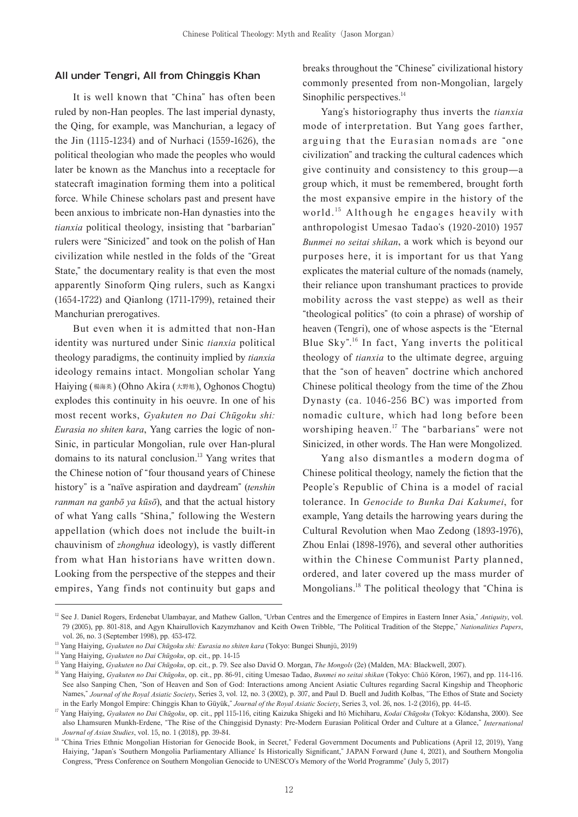### **All under Tengri, All from Chinggis Khan**

It is well known that "China" has often been ruled by non-Han peoples. The last imperial dynasty, the Qing, for example, was Manchurian, a legacy of the Jin (1115-1234) and of Nurhaci (1559-1626), the political theologian who made the peoples who would later be known as the Manchus into a receptacle for statecraft imagination forming them into a political force. While Chinese scholars past and present have been anxious to imbricate non-Han dynasties into the *tianxia* political theology, insisting that "barbarian" rulers were "Sinicized" and took on the polish of Han civilization while nestled in the folds of the "Great State," the documentary reality is that even the most apparently Sinoform Qing rulers, such as Kangxi (1654-1722) and Qianlong (1711-1799), retained their Manchurian prerogatives.

But even when it is admitted that non-Han identity was nurtured under Sinic *tianxia* political theology paradigms, the continuity implied by *tianxia*  ideology remains intact. Mongolian scholar Yang Haiying (楊海英) (Ohno Akira (大野旭), Oghonos Chogtu) explodes this continuity in his oeuvre. In one of his most recent works, *Gyakuten no Dai Chūgoku shi: Eurasia no shiten kara*, Yang carries the logic of non-Sinic, in particular Mongolian, rule over Han-plural domains to its natural conclusion.<sup>13</sup> Yang writes that the Chinese notion of "four thousand years of Chinese history" is a "naïve aspiration and daydream" (*tenshin ranman na ganbō ya kūsō*), and that the actual history of what Yang calls "Shina," following the Western appellation (which does not include the built-in chauvinism of *zhonghua* ideology), is vastly different from what Han historians have written down. Looking from the perspective of the steppes and their empires, Yang finds not continuity but gaps and breaks throughout the "Chinese" civilizational history commonly presented from non-Mongolian, largely Sinophilic perspectives.<sup>14</sup>

Yang's historiography thus inverts the *tianxia* mode of interpretation. But Yang goes farther, arguing that the Eurasian nomads are "one civilization" and tracking the cultural cadences which give continuity and consistency to this group—a group which, it must be remembered, brought forth the most expansive empire in the history of the world.<sup>15</sup> Although he engages heavily with anthropologist Umesao Tadao's (1920-2010) 1957 *Bunmei no seitai shikan*, a work which is beyond our purposes here, it is important for us that Yang explicates the material culture of the nomads (namely, their reliance upon transhumant practices to provide mobility across the vast steppe) as well as their "theological politics" (to coin a phrase) of worship of heaven (Tengri), one of whose aspects is the "Eternal Blue Sky". <sup>16</sup> In fact, Yang inverts the political theology of *tianxia* to the ultimate degree, arguing that the "son of heaven" doctrine which anchored Chinese political theology from the time of the Zhou Dynasty (ca. 1046-256 BC) was imported from nomadic culture, which had long before been worshiping heaven.<sup>17</sup> The "barbarians" were not Sinicized, in other words. The Han were Mongolized.

Yang also dismantles a modern dogma of Chinese political theology, namely the fiction that the People's Republic of China is a model of racial tolerance. In *Genocide to Bunka Dai Kakumei*, for example, Yang details the harrowing years during the Cultural Revolution when Mao Zedong (1893-1976), Zhou Enlai (1898-1976), and several other authorities within the Chinese Communist Party planned, ordered, and later covered up the mass murder of Mongolians.<sup>18</sup> The political theology that "China is

<sup>&</sup>lt;sup>12</sup> See J. Daniel Rogers, Erdenebat Ulambayar, and Mathew Gallon, "Urban Centres and the Emergence of Empires in Eastern Inner Asia," Antiquity, vol. 79 (2005), pp. 801-818, and Agyn Khairullovich Kazymzhanov and Keith Owen Tribble, "The Political Tradition of the Steppe," *Nationalities Papers*, vol. 26, no. 3 (September 1998), pp. 453-472.

<sup>13</sup> Yang Haiying, *Gyakuten no Dai Chūgoku shi: Eurasia no shiten kara* (Tokyo: Bungei Shunjū, 2019)

<sup>14</sup> Yang Haiying, *Gyakuten no Dai Chūgoku*, op. cit., pp. 14-15

<sup>15</sup> Yang Haiying, *Gyakuten no Dai Chūgoku*, op. cit., p. 79. See also David O. Morgan, *The Mongols* (2e) (Malden, MA: Blackwell, 2007).

<sup>&</sup>lt;sup>16</sup> Yang Haiying, *Gyakuten no Dai Chūgoku*, op. cit., pp. 86-91, citing Umesao Tadao, *Bunmei no seitai shikan* (Tokyo: Chūō Kōron, 1967), and pp. 114-116. See also Sanping Chen, "Son of Heaven and Son of God: Interactions among Ancient Asiatic Cultures regarding Sacral Kingship and Theophoric Names," *Journal of the Royal Asiatic Society*, Series 3, vol. 12, no. 3 (2002), p. 307, and Paul D. Buell and Judith Kolbas, "The Ethos of State and Society in the Early Mongol Empire: Chinggis Khan to Güyük," *Journal of the Royal Asiatic Society*, Series 3, vol. 26, nos. 1-2 (2016), pp. 44-45.

<sup>17</sup> Yang Haiying, *Gyakuten no Dai Chūgoku*, op. cit., ppl 115-116, citing Kaizuka Shigeki and Itō Michiharu, *Kodai Chūgoku* (Tokyo: Kōdansha, 2000). See also Lhamsuren Munkh-Erdene, "The Rise of the Chinggisid Dynasty: Pre-Modern Eurasian Political Order and Culture at a Glance," *International Journal of Asian Studies*, vol. 15, no. 1 (2018), pp. 39-84.

<sup>&</sup>lt;sup>18</sup> "China Tries Ethnic Mongolian Historian for Genocide Book, in Secret," Federal Government Documents and Publications (April 12, 2019), Yang Haiying, "Japan's ʻSouthern Mongolia Parliamentary Alliance' Is Historically Significant," JAPAN Forward (June 4, 2021), and Southern Mongolia Congress, "Press Conference on Southern Mongolian Genocide to UNESCO's Memory of the World Programme" (July 5, 2017)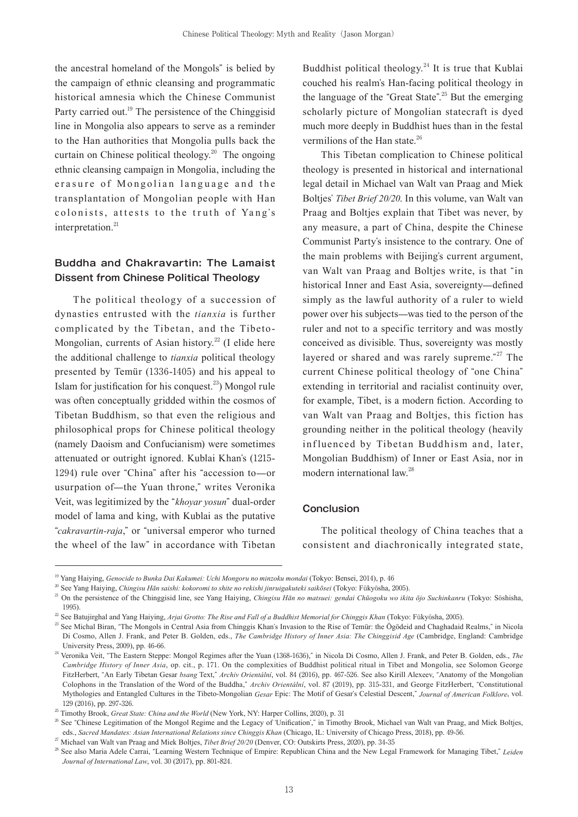the ancestral homeland of the Mongols" is belied by the campaign of ethnic cleansing and programmatic historical amnesia which the Chinese Communist Party carried out.<sup>19</sup> The persistence of the Chinggisid line in Mongolia also appears to serve as a reminder to the Han authorities that Mongolia pulls back the curtain on Chinese political theology.<sup>20</sup> The ongoing ethnic cleansing campaign in Mongolia, including the erasure of Mongolian language and the transplantation of Mongolian people with Han colonists, attests to the truth of Yang's interpretation.<sup>21</sup>

# **Buddha and Chakravartin: The Lamaist Dissent from Chinese Political Theology**

The political theology of a succession of dynasties entrusted with the *tianxia* is further complicated by the Tibetan, and the Tibeto-Mongolian, currents of Asian history.<sup>22</sup> (I elide here the additional challenge to *tianxia* political theology presented by Temür (1336-1405) and his appeal to Islam for justification for his conquest.<sup>23</sup>) Mongol rule was often conceptually gridded within the cosmos of Tibetan Buddhism, so that even the religious and philosophical props for Chinese political theology (namely Daoism and Confucianism) were sometimes attenuated or outright ignored. Kublai Khan's (1215- 1294) rule over "China" after his "accession to—or usurpation of—the Yuan throne," writes Veronika Veit, was legitimized by the "*khoyar yosun*" dual-order model of lama and king, with Kublai as the putative "*cakravartin-raja*," or "universal emperor who turned the wheel of the law" in accordance with Tibetan Buddhist political theology.<sup>24</sup> It is true that Kublai couched his realm's Han-facing political theology in the language of the "Great State".<sup>25</sup> But the emerging scholarly picture of Mongolian statecraft is dyed much more deeply in Buddhist hues than in the festal vermilions of the Han state.<sup>26</sup>

This Tibetan complication to Chinese political theology is presented in historical and international legal detail in Michael van Walt van Praag and Miek Boltjes' *Tibet Brief 20/20*. In this volume, van Walt van Praag and Boltjes explain that Tibet was never, by any measure, a part of China, despite the Chinese Communist Party's insistence to the contrary. One of the main problems with Beijing's current argument, van Walt van Praag and Boltjes write, is that "in historical Inner and East Asia, sovereignty—defined simply as the lawful authority of a ruler to wield power over his subjects—was tied to the person of the ruler and not to a specific territory and was mostly conceived as divisible. Thus, sovereignty was mostly layered or shared and was rarely supreme."<sup>27</sup> The current Chinese political theology of "one China" extending in territorial and racialist continuity over, for example, Tibet, is a modern fiction. According to van Walt van Praag and Boltjes, this fiction has grounding neither in the political theology (heavily influenced by Tibetan Buddhism and, later, Mongolian Buddhism) of Inner or East Asia, nor in modern international law.<sup>28</sup>

#### **Conclusion**

The political theology of China teaches that a consistent and diachronically integrated state,

<sup>&</sup>lt;sup>19</sup> Yang Haiying, *Genocide to Bunka Dai Kakumei: Uchi Mongoru no minzoku mondai* (Tokyo: Bensei, 2014), p. 46

<sup>20</sup> See Yang Haiying, *Chingisu Hān saishi: kokoromi to shite no rekishi jinruigakuteki saikōsei* (Tokyo: Fūkyōsha, 2005).

<sup>&</sup>lt;sup>21</sup> On the persistence of the Chinggisid line, see Yang Haiying, *Chingisu Hān no matsuei: gendai Chūogoku wo ikita ōjo Suchinkanru* (Tokyo: Sōshisha, 1995).

<sup>22</sup> See Batujirghal and Yang Haiying, *Arjai Grotto: The Rise and Fall of a Buddhist Memorial for Chinggis Khan* (Tokyo: Fūkyōsha, 2005).

<sup>&</sup>lt;sup>23</sup> See Michal Biran, "The Mongols in Central Asia from Chinggis Khan's Invasion to the Rise of Temür: the Ögödeid and Chaghadaid Realms," in Nicola Di Cosmo, Allen J. Frank, and Peter B. Golden, eds., *The Cambridge History of Inner Asia: The Chinggisid Age* (Cambridge, England: Cambridge University Press, 2009), pp. 46-66.

<sup>&</sup>lt;sup>24</sup> Veronika Veit, "The Eastern Steppe: Mongol Regimes after the Yuan (1368-1636)," in Nicola Di Cosmo, Allen J. Frank, and Peter B. Golden, eds., The *Cambridge History of Inner Asia*, op. cit., p. 171. On the complexities of Buddhist political ritual in Tibet and Mongolia, see Solomon George FitzHerbert, "An Early Tibetan Gesar *bsang* Text," *Archiv Orientální*, vol. 84 (2016), pp. 467-526. See also Kirill Alexeev, "Anatomy of the Mongolian Colophons in the Translation of the Word of the Buddha," *Archiv Orientální*, vol. 87 (2019), pp. 315-331, and George FitzHerbert, "Constitutional Mythologies and Entangled Cultures in the Tibeto-Mongolian *Gesar* Epic: The Motif of Gesar's Celestial Descent," *Journal of American Folklore*, vol. 129 (2016), pp. 297-326.

<sup>&</sup>lt;sup>25</sup> Timothy Brook, *Great State: China and the World* (New York, NY: Harper Collins, 2020), p. 31

<sup>&</sup>lt;sup>26</sup> See "Chinese Legitimation of the Mongol Regime and the Legacy of 'Unification'," in Timothy Brook, Michael van Walt van Praag, and Miek Boltjes, eds., *Sacred Mandates: Asian International Relations since Chinggis Khan* (Chicago, IL: University of Chicago Press, 2018), pp. 49-56.

<sup>27</sup> Michael van Walt van Praag and Miek Boltjes, *Tibet Brief 20/20* (Denver, CO: Outskirts Press, 2020), pp. 34-35

<sup>&</sup>lt;sup>28</sup> See also Maria Adele Carrai, "Learning Western Technique of Empire: Republican China and the New Legal Framework for Managing Tibet," *Leiden Journal of International Law*, vol. 30 (2017), pp. 801-824.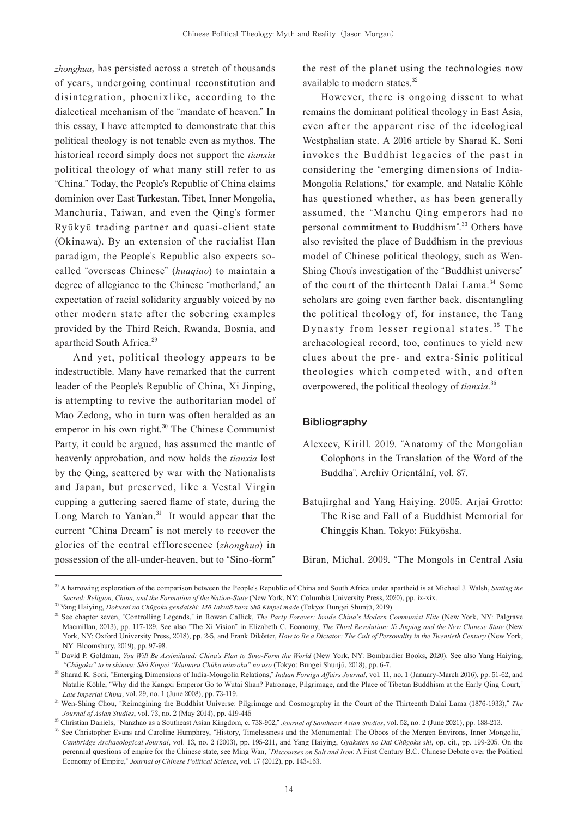*zhonghua*, has persisted across a stretch of thousands of years, undergoing continual reconstitution and disintegration, phoenixlike, according to the dialectical mechanism of the "mandate of heaven." In this essay, I have attempted to demonstrate that this political theology is not tenable even as mythos. The historical record simply does not support the *tianxia*  political theology of what many still refer to as "China." Today, the People's Republic of China claims dominion over East Turkestan, Tibet, Inner Mongolia, Manchuria, Taiwan, and even the Qing's former Ryūkyū trading partner and quasi-client state (Okinawa). By an extension of the racialist Han paradigm, the People's Republic also expects socalled "overseas Chinese" (*huaqiao*) to maintain a degree of allegiance to the Chinese "motherland," an expectation of racial solidarity arguably voiced by no other modern state after the sobering examples provided by the Third Reich, Rwanda, Bosnia, and apartheid South Africa.<sup>29</sup>

And yet, political theology appears to be indestructible. Many have remarked that the current leader of the People's Republic of China, Xi Jinping, is attempting to revive the authoritarian model of Mao Zedong, who in turn was often heralded as an emperor in his own right.<sup>30</sup> The Chinese Communist Party, it could be argued, has assumed the mantle of heavenly approbation, and now holds the *tianxia* lost by the Qing, scattered by war with the Nationalists and Japan, but preserved, like a Vestal Virgin cupping a guttering sacred flame of state, during the Long March to Yan'an. $31$  It would appear that the current "China Dream" is not merely to recover the glories of the central efflorescence (*zhonghua*) in possession of the all-under-heaven, but to "Sino-form"

the rest of the planet using the technologies now available to modern states.<sup>32</sup>

However, there is ongoing dissent to what remains the dominant political theology in East Asia, even after the apparent rise of the ideological Westphalian state. A 2016 article by Sharad K. Soni invokes the Buddhist legacies of the past in considering the "emerging dimensions of India-Mongolia Relations," for example, and Natalie Köhle has questioned whether, as has been generally assumed, the "Manchu Qing emperors had no personal commitment to Buddhism". <sup>33</sup> Others have also revisited the place of Buddhism in the previous model of Chinese political theology, such as Wen-Shing Chou's investigation of the "Buddhist universe" of the court of the thirteenth Dalai Lama.<sup>34</sup> Some scholars are going even farther back, disentangling the political theology of, for instance, the Tang Dynasty from lesser regional states.  $35$  The archaeological record, too, continues to yield new clues about the pre- and extra-Sinic political theologies which competed with, and often overpowered, the political theology of *tianxia*. 36

## **Bibliography**

- Alexeev, Kirill. 2019. "Anatomy of the Mongolian Colophons in the Translation of the Word of the Buddha". Archiv Orientální, vol. 87.
- Batujirghal and Yang Haiying. 2005. Arjai Grotto: The Rise and Fall of a Buddhist Memorial for Chinggis Khan. Tokyo: Fūkyōsha.

Biran, Michal. 2009. "The Mongols in Central Asia

<sup>&</sup>lt;sup>29</sup> A harrowing exploration of the comparison between the People's Republic of China and South Africa under apartheid is at Michael J. Walsh, *Stating the Sacred: Religion, China, and the Formation of the Nation-State* (New York, NY: Columbia University Press, 2020), pp. ix-xix.

<sup>30</sup> Yang Haiying, *Dokusai no Chūgoku gendaishi: Mō Takutō kara Shū Kinpei made* (Tokyo: Bungei Shunjū, 2019)

<sup>&</sup>lt;sup>31</sup> See chapter seven, "Controlling Legends," in Rowan Callick, *The Party Forever: Inside China's Modern Communist Elite* (New York, NY: Palgrave Macmillan, 2013), pp. 117-129. See also "The Xi Vision" in Elizabeth C. Economy, *The Third Revolution: Xi Jinping and the New Chinese State* (New York, NY: Oxford University Press, 2018), pp. 2-5, and Frank Dikötter, *How to Be a Dictator: The Cult of Personality in the Twentieth Century* (New York, NY: Bloomsbury, 2019), pp. 97-98.

<sup>&</sup>lt;sup>32</sup> David P. Goldman, *You Will Be Assimilated: China's Plan to Sino-Form the World* (New York, NY: Bombardier Books, 2020). See also Yang Haiying, *"Chūgoku" to iu shinwa: Shū Kinpei "Idainaru Chūka minzoku" no uso* (Tokyo: Bungei Shunjū, 2018), pp. 6-7.

<sup>33</sup> Sharad K. Soni, "Emerging Dimensions of India-Mongolia Relations," *Indian Foreign Affairs Journal*, vol. 11, no. 1 (January-March 2016), pp. 51-62, and Natalie Köhle, "Why did the Kangxi Emperor Go to Wutai Shan? Patronage, Pilgrimage, and the Place of Tibetan Buddhism at the Early Qing Court," *Late Imperial China*, vol. 29, no. 1 (June 2008), pp. 73-119.

<sup>34</sup> Wen-Shing Chou, "Reimagining the Buddhist Universe: Pilgrimage and Cosmography in the Court of the Thirteenth Dalai Lama (1876-1933)," *The Journal of Asian Studies*, vol. 73, no. 2 (May 2014), pp. 419-445

<sup>35</sup> Christian Daniels, "Nanzhao as a Southeast Asian Kingdom, c. 738-902," *Journal of Southeast Asian Studies*, vol. 52, no. 2 (June 2021), pp. 188-213.

<sup>36</sup> See Christopher Evans and Caroline Humphrey, "History, Timelessness and the Monumental: The Oboos of the Mergen Environs, Inner Mongolia," *Cambridge Archaeological Journal*, vol. 13, no. 2 (2003), pp. 195-211, and Yang Haiying, *Gyakuten no Dai Chūgoku shi*, op. cit., pp. 199-205. On the perennial questions of empire for the Chinese state, see Ming Wan, "*Discourses on Salt and Iron*: A First Century B.C. Chinese Debate over the Political Economy of Empire," *Journal of Chinese Political Science*, vol. 17 (2012), pp. 143-163.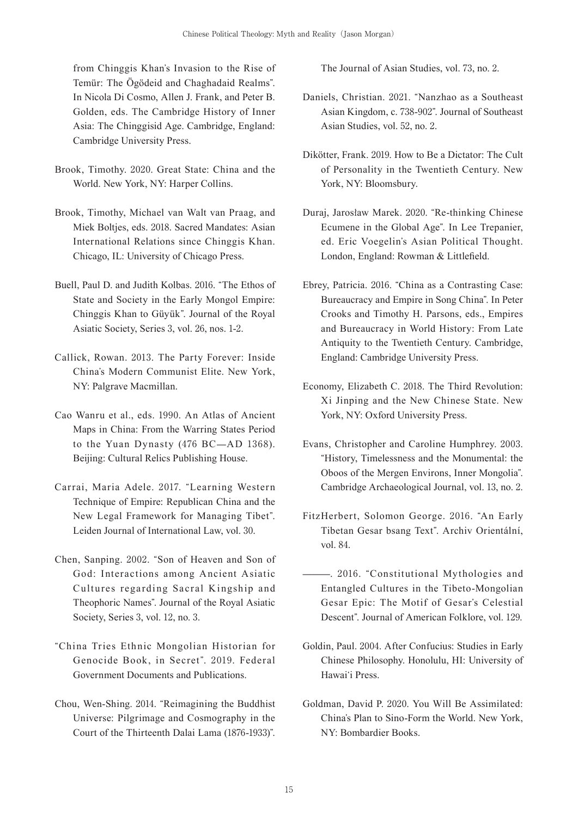from Chinggis Khan's Invasion to the Rise of Temür: The Ögödeid and Chaghadaid Realms". In Nicola Di Cosmo, Allen J. Frank, and Peter B. Golden, eds. The Cambridge History of Inner Asia: The Chinggisid Age. Cambridge, England: Cambridge University Press.

- Brook, Timothy. 2020. Great State: China and the World. New York, NY: Harper Collins.
- Brook, Timothy, Michael van Walt van Praag, and Miek Boltjes, eds. 2018. Sacred Mandates: Asian International Relations since Chinggis Khan. Chicago, IL: University of Chicago Press.
- Buell, Paul D. and Judith Kolbas. 2016. "The Ethos of State and Society in the Early Mongol Empire: Chinggis Khan to Güyük". Journal of the Royal Asiatic Society, Series 3, vol. 26, nos. 1-2.
- Callick, Rowan. 2013. The Party Forever: Inside China's Modern Communist Elite. New York, NY: Palgrave Macmillan.
- Cao Wanru et al., eds. 1990. An Atlas of Ancient Maps in China: From the Warring States Period to the Yuan Dynasty (476 BC—AD 1368). Beijing: Cultural Relics Publishing House.
- Carrai, Maria Adele. 2017. "Learning Western Technique of Empire: Republican China and the New Legal Framework for Managing Tibet". Leiden Journal of International Law, vol. 30.
- Chen, Sanping. 2002. "Son of Heaven and Son of God: Interactions among Ancient Asiatic Cultures regarding Sacral Kingship and Theophoric Names". Journal of the Royal Asiatic Society, Series 3, vol. 12, no. 3.
- "China Tries Ethnic Mongolian Historian for Genocide Book, in Secret". 2019. Federal Government Documents and Publications.
- Chou, Wen-Shing. 2014. "Reimagining the Buddhist Universe: Pilgrimage and Cosmography in the Court of the Thirteenth Dalai Lama (1876-1933)".

The Journal of Asian Studies, vol. 73, no. 2.

- Daniels, Christian. 2021. "Nanzhao as a Southeast Asian Kingdom, c. 738-902". Journal of Southeast Asian Studies, vol. 52, no. 2.
- Dikötter, Frank. 2019. How to Be a Dictator: The Cult of Personality in the Twentieth Century. New York, NY: Bloomsbury.
- Duraj, Jarosław Marek. 2020. "Re-thinking Chinese Ecumene in the Global Age". In Lee Trepanier, ed. Eric Voegelin's Asian Political Thought. London, England: Rowman & Littlefield.
- Ebrey, Patricia. 2016. "China as a Contrasting Case: Bureaucracy and Empire in Song China". In Peter Crooks and Timothy H. Parsons, eds., Empires and Bureaucracy in World History: From Late Antiquity to the Twentieth Century. Cambridge, England: Cambridge University Press.
- Economy, Elizabeth C. 2018. The Third Revolution: Xi Jinping and the New Chinese State. New York, NY: Oxford University Press.
- Evans, Christopher and Caroline Humphrey. 2003. "History, Timelessness and the Monumental: the Oboos of the Mergen Environs, Inner Mongolia". Cambridge Archaeological Journal, vol. 13, no. 2.
- FitzHerbert, Solomon George. 2016. "An Early Tibetan Gesar bsang Text". Archiv Orientální, vol. 84.
- ———. 2016. "Constitutional Mythologies and Entangled Cultures in the Tibeto-Mongolian Gesar Epic: The Motif of Gesar's Celestial Descent". Journal of American Folklore, vol. 129.
- Goldin, Paul. 2004. After Confucius: Studies in Early Chinese Philosophy. Honolulu, HI: University of Hawaiʻi Press.
- Goldman, David P. 2020. You Will Be Assimilated: China's Plan to Sino-Form the World. New York, NY: Bombardier Books.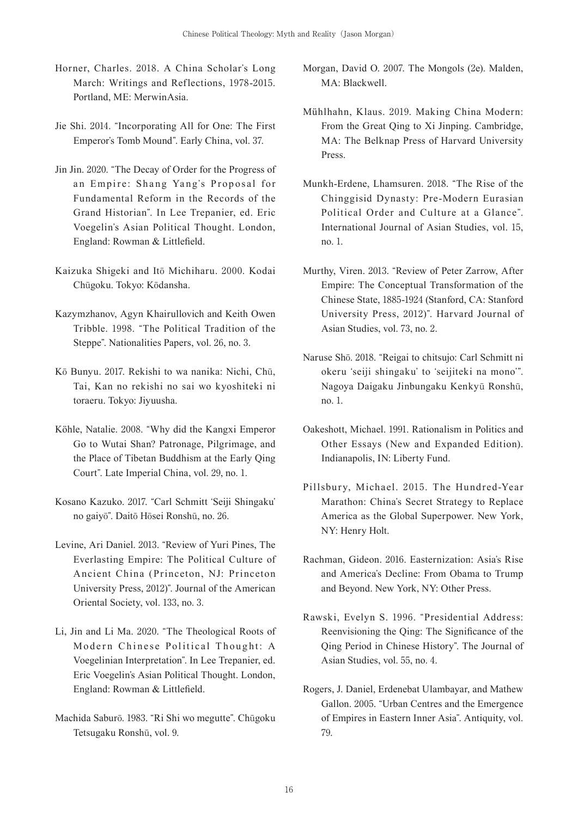- Horner, Charles. 2018. A China Scholar's Long March: Writings and Reflections, 1978-2015. Portland, ME: MerwinAsia.
- Jie Shi. 2014. "Incorporating All for One: The First Emperor's Tomb Mound". Early China, vol. 37.
- Jin Jin. 2020. "The Decay of Order for the Progress of an Empire: Shang Yang's Proposal for Fundamental Reform in the Records of the Grand Historian". In Lee Trepanier, ed. Eric Voegelin's Asian Political Thought. London, England: Rowman & Littlefield.
- Kaizuka Shigeki and Itō Michiharu. 2000. Kodai Chūgoku. Tokyo: Kōdansha.
- Kazymzhanov, Agyn Khairullovich and Keith Owen Tribble. 1998. "The Political Tradition of the Steppe". Nationalities Papers, vol. 26, no. 3.
- Kō Bunyu. 2017. Rekishi to wa nanika: Nichi, Chū, Tai, Kan no rekishi no sai wo kyoshiteki ni toraeru. Tokyo: Jiyuusha.
- Köhle, Natalie. 2008. "Why did the Kangxi Emperor Go to Wutai Shan? Patronage, Pilgrimage, and the Place of Tibetan Buddhism at the Early Qing Court". Late Imperial China, vol. 29, no. 1.
- Kosano Kazuko. 2017. "Carl Schmitt ʻSeiji Shingaku' no gaiyō". Daitō Hōsei Ronshū, no. 26.
- Levine, Ari Daniel. 2013. "Review of Yuri Pines, The Everlasting Empire: The Political Culture of Ancient China (Princeton, NJ: Princeton University Press, 2012)". Journal of the American Oriental Society, vol. 133, no. 3.
- Li, Jin and Li Ma. 2020. "The Theological Roots of Modern Chinese Political Thought: A Voegelinian Interpretation". In Lee Trepanier, ed. Eric Voegelin's Asian Political Thought. London, England: Rowman & Littlefield.
- Machida Saburō. 1983. "Ri Shi wo megutte". Chūgoku Tetsugaku Ronshū, vol. 9.
- Morgan, David O. 2007. The Mongols (2e). Malden, MA: Blackwell.
- Mühlhahn, Klaus. 2019. Making China Modern: From the Great Qing to Xi Jinping. Cambridge, MA: The Belknap Press of Harvard University Press.
- Munkh-Erdene, Lhamsuren. 2018. "The Rise of the Chinggisid Dynasty: Pre-Modern Eurasian Political Order and Culture at a Glance". International Journal of Asian Studies, vol. 15, no. 1.
- Murthy, Viren. 2013. "Review of Peter Zarrow, After Empire: The Conceptual Transformation of the Chinese State, 1885-1924 (Stanford, CA: Stanford University Press, 2012)". Harvard Journal of Asian Studies, vol. 73, no. 2.
- Naruse Shō. 2018. "Reigai to chitsujo: Carl Schmitt ni okeru ʻseiji shingaku' to ʻseijiteki na mono'". Nagoya Daigaku Jinbungaku Kenkyū Ronshū, no. 1.
- Oakeshott, Michael. 1991. Rationalism in Politics and Other Essays (New and Expanded Edition). Indianapolis, IN: Liberty Fund.
- Pillsbury, Michael. 2015. The Hundred-Year Marathon: China's Secret Strategy to Replace America as the Global Superpower. New York, NY: Henry Holt.
- Rachman, Gideon. 2016. Easternization: Asia's Rise and America's Decline: From Obama to Trump and Beyond. New York, NY: Other Press.
- Rawski, Evelyn S. 1996. "Presidential Address: Reenvisioning the Qing: The Significance of the Qing Period in Chinese History". The Journal of Asian Studies, vol. 55, no. 4.
- Rogers, J. Daniel, Erdenebat Ulambayar, and Mathew Gallon. 2005. "Urban Centres and the Emergence of Empires in Eastern Inner Asia". Antiquity, vol. 79.